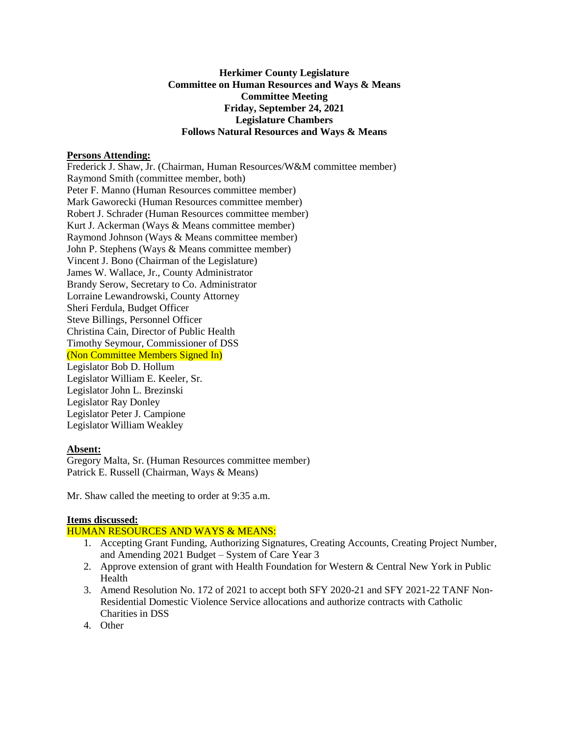### **Herkimer County Legislature Committee on Human Resources and Ways & Means Committee Meeting Friday, September 24, 2021 Legislature Chambers Follows Natural Resources and Ways & Means**

### **Persons Attending:**

Frederick J. Shaw, Jr. (Chairman, Human Resources/W&M committee member) Raymond Smith (committee member, both) Peter F. Manno (Human Resources committee member) Mark Gaworecki (Human Resources committee member) Robert J. Schrader (Human Resources committee member) Kurt J. Ackerman (Ways & Means committee member) Raymond Johnson (Ways & Means committee member) John P. Stephens (Ways & Means committee member) Vincent J. Bono (Chairman of the Legislature) James W. Wallace, Jr., County Administrator Brandy Serow, Secretary to Co. Administrator Lorraine Lewandrowski, County Attorney Sheri Ferdula, Budget Officer Steve Billings, Personnel Officer Christina Cain, Director of Public Health Timothy Seymour, Commissioner of DSS (Non Committee Members Signed In) Legislator Bob D. Hollum Legislator William E. Keeler, Sr. Legislator John L. Brezinski Legislator Ray Donley Legislator Peter J. Campione Legislator William Weakley

#### **Absent:**

Gregory Malta, Sr. (Human Resources committee member) Patrick E. Russell (Chairman, Ways & Means)

Mr. Shaw called the meeting to order at 9:35 a.m.

# **Items discussed:**

# HUMAN RESOURCES AND WAYS & MEANS:

- 1. Accepting Grant Funding, Authorizing Signatures, Creating Accounts, Creating Project Number, and Amending 2021 Budget – System of Care Year 3
- 2. Approve extension of grant with Health Foundation for Western & Central New York in Public Health
- 3. Amend Resolution No. 172 of 2021 to accept both SFY 2020-21 and SFY 2021-22 TANF Non-Residential Domestic Violence Service allocations and authorize contracts with Catholic Charities in DSS
- 4. Other